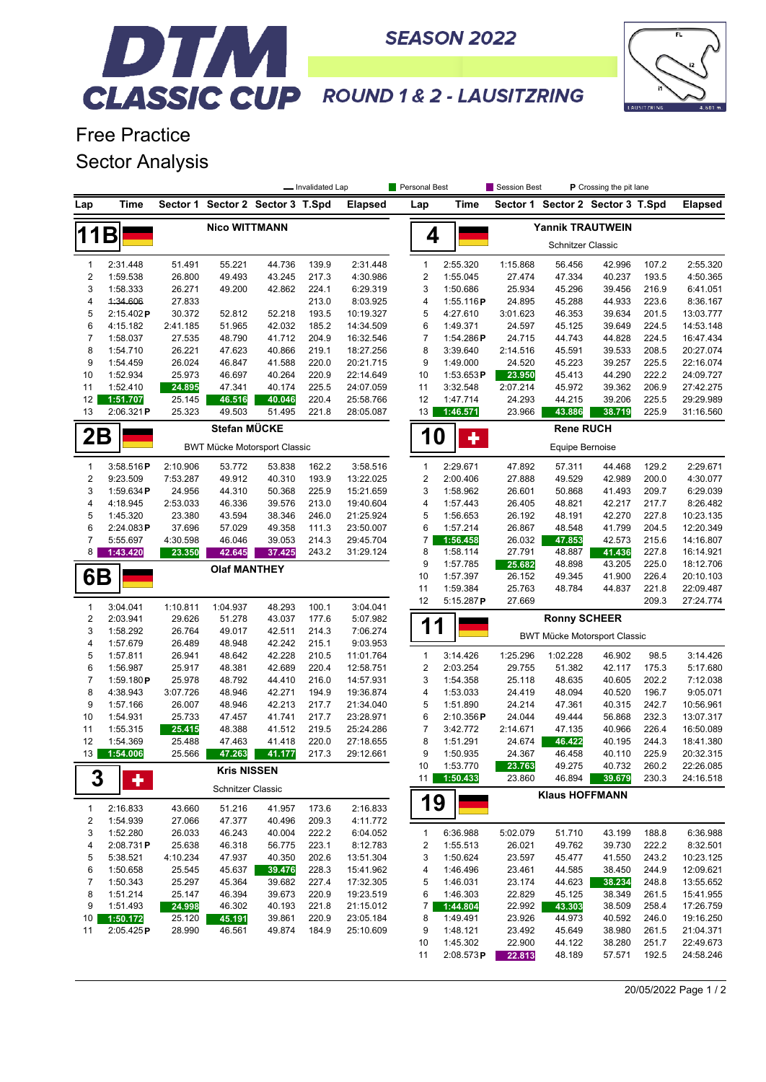

## DTM I **CLASSIC CUP** ROUND 1& 2 - LAUSITZRING

**SEASON 2022** 

Free Practice Sector Analysis

|                              |                       | - Invalidated Lap                   |                                  |                  |                | Personal Best          |                                    |                                  | Session Best<br>P Crossing the pit lane |                          |                       |                                  |                |                        |
|------------------------------|-----------------------|-------------------------------------|----------------------------------|------------------|----------------|------------------------|------------------------------------|----------------------------------|-----------------------------------------|--------------------------|-----------------------|----------------------------------|----------------|------------------------|
| Lap                          | Time                  |                                     | Sector 1 Sector 2 Sector 3 T.Spd |                  |                | <b>Elapsed</b>         | Lap                                |                                  | Time                                    |                          |                       | Sector 1 Sector 2 Sector 3 T.Spd |                | <b>Elapsed</b>         |
| <b>Nico WITTMANN</b>         |                       |                                     |                                  |                  |                |                        |                                    |                                  |                                         |                          |                       | <b>Yannik TRAUTWEIN</b>          |                |                        |
| 11B                          |                       |                                     |                                  |                  |                |                        |                                    | 4                                |                                         | <b>Schnitzer Classic</b> |                       |                                  |                |                        |
| $\mathbf{1}$                 | 2:31.448              | 51.491                              | 55.221                           | 44.736           | 139.9          | 2:31.448               |                                    | $\mathbf{1}$                     | 2:55.320                                | 1:15.868                 | 56.456                | 42.996                           | 107.2          | 2:55.320               |
| $\boldsymbol{2}$             | 1:59.538              | 26.800                              | 49.493                           | 43.245           | 217.3          | 4:30.986               |                                    | $\overline{2}$                   | 1:55.045                                | 27.474                   | 47.334                | 40.237                           | 193.5          | 4:50.365               |
| 3                            | 1:58.333              | 26.271                              | 49.200                           | 42.862           | 224.1          | 6:29.319               |                                    | 3                                | 1:50.686                                | 25.934                   | 45.296                | 39.456                           | 216.9          | 6:41.051               |
| 4                            | 4:34.606              | 27.833                              |                                  |                  | 213.0          | 8:03.925               |                                    | 4                                | 1:55.116P                               | 24.895                   | 45.288                | 44.933                           | 223.6          | 8:36.167               |
| 5                            | 2:15.402P             | 30.372                              | 52.812                           | 52.218           | 193.5          | 10:19.327              |                                    | 5                                | 4:27.610                                | 3:01.623                 | 46.353                | 39.634                           | 201.5          | 13:03.777              |
| 6<br>$\overline{7}$          | 4:15.182<br>1:58.037  | 2:41.185<br>27.535                  | 51.965<br>48.790                 | 42.032<br>41.712 | 185.2<br>204.9 | 14:34.509<br>16:32.546 |                                    | 6<br>$\boldsymbol{7}$            | 1:49.371<br>1:54.286P                   | 24.597<br>24.715         | 45.125<br>44.743      | 39.649<br>44.828                 | 224.5<br>224.5 | 14:53.148<br>16:47.434 |
| 8                            | 1:54.710              | 26.221                              | 47.623                           | 40.866           | 219.1          | 18:27.256              |                                    | 8                                | 3:39.640                                | 2:14.516                 | 45.591                | 39.533                           | 208.5          | 20:27.074              |
| 9                            | 1:54.459              | 26.024                              | 46.847                           | 41.588           | 220.0          | 20:21.715              |                                    | 9                                | 1:49.000                                | 24.520                   | 45.223                | 39.257                           | 225.5          | 22:16.074              |
| 10                           | 1:52.934              | 25.973                              | 46.697                           | 40.264           | 220.9          | 22:14.649              | 10                                 |                                  | 1:53.653P                               | 23.950                   | 45.413                | 44.290                           | 222.2          | 24:09.727              |
| 11                           | 1:52.410              | 24.895                              | 47.341                           | 40.174           | 225.5          | 24:07.059              | 11                                 |                                  | 3:32.548                                | 2:07.214                 | 45.972                | 39.362                           | 206.9          | 27:42.275              |
| 12                           | 1:51.707              | 25.145                              | 46.516                           | 40.046           | 220.4          | 25:58.766              | 12                                 |                                  | 1:47.714                                | 24.293                   | 44.215                | 39.206                           | 225.5          | 29:29.989              |
| 13                           | 2:06.321P             | 25.323                              | 49.503                           | 51.495           | 221.8          | 28:05.087              |                                    | 13                               | 1:46.571                                | 23.966                   | 43.886                | 38.719                           | 225.9          | 31:16.560              |
| 2Β                           | Stefan MÜCKE          |                                     |                                  |                  |                |                        | <b>Rene RUCH</b><br><b>10</b><br>٠ |                                  |                                         |                          |                       |                                  |                |                        |
|                              |                       | <b>BWT Mücke Motorsport Classic</b> |                                  |                  |                |                        |                                    |                                  |                                         |                          |                       |                                  |                |                        |
| 1<br>$\overline{\mathbf{c}}$ | 3:58.516P             | 2:10.906<br>7:53.287                | 53.772                           | 53.838           | 162.2          | 3:58.516               |                                    | $\mathbf{1}$<br>$\boldsymbol{2}$ | 2:29.671                                | 47.892                   | 57.311                | 44.468                           | 129.2<br>200.0 | 2:29.671               |
| 3                            | 9:23.509<br>1:59.634P | 24.956                              | 49.912<br>44.310                 | 40.310<br>50.368 | 193.9<br>225.9 | 13:22.025<br>15:21.659 |                                    | 3                                | 2:00.406<br>1:58.962                    | 27.888<br>26.601         | 49.529<br>50.868      | 42.989<br>41.493                 | 209.7          | 4:30.077<br>6:29.039   |
| 4                            | 4:18.945              | 2:53.033                            | 46.336                           | 39.576           | 213.0          | 19:40.604              |                                    | 4                                | 1:57.443                                | 26.405                   | 48.821                | 42.217                           | 217.7          | 8:26.482               |
| 5                            | 1:45.320              | 23.380                              | 43.594                           | 38.346           | 246.0          | 21:25.924              |                                    | 5                                | 1:56.653                                | 26.192                   | 48.191                | 42.270                           | 227.8          | 10:23.135              |
| 6                            | 2:24.083P             | 37.696                              | 57.029                           | 49.358           | 111.3          | 23:50.007              |                                    | 6                                | 1:57.214                                | 26.867                   | 48.548                | 41.799                           | 204.5          | 12:20.349              |
| 7                            | 5:55.697              | 4:30.598                            | 46.046                           | 39.053           | 214.3          | 29:45.704              |                                    | 7                                | 1:56.458                                | 26.032                   | 47.853                | 42.573                           | 215.6          | 14:16.807              |
| 8                            | 1:43.420              | 23.350                              | 42.645                           | 37.425           | 243.2          | 31:29.124              |                                    | 8                                | 1:58.114                                | 27.791                   | 48.887                | 41.436                           | 227.8          | 16:14.921              |
|                              |                       |                                     | <b>Olaf MANTHEY</b>              |                  |                |                        |                                    | 9                                | 1:57.785                                | 25.682                   | 48.898                | 43.205                           | 225.0          | 18:12.706              |
| 6Β                           |                       |                                     |                                  |                  |                |                        | 10                                 |                                  | 1:57.397                                | 26.152                   | 49.345                | 41.900                           | 226.4          | 20:10.103              |
|                              |                       |                                     |                                  |                  |                |                        | 11                                 |                                  | 1:59.384                                | 25.763                   | 48.784                | 44.837                           | 221.8          | 22:09.487              |
| 1                            | 3:04.041              | 1:10.811                            | 1:04.937                         | 48.293           | 100.1          | 3:04.041               | 12                                 |                                  | 5:15.287P                               | 27.669                   |                       |                                  | 209.3          | 27:24.774              |
| $\boldsymbol{2}$             | 2:03.941              | 29.626                              | 51.278                           | 43.037           | 177.6          | 5:07.982               |                                    | 1<br>1                           |                                         |                          | <b>Ronny SCHEER</b>   |                                  |                |                        |
| 3<br>4                       | 1:58.292<br>1:57.679  | 26.764<br>26.489                    | 49.017<br>48.948                 | 42.511<br>42.242 | 214.3<br>215.1 | 7:06.274<br>9:03.953   |                                    |                                  |                                         |                          |                       | BWT Mücke Motorsport Classic     |                |                        |
| 5                            | 1:57.811              | 26.941                              | 48.642                           | 42.228           | 210.5          | 11:01.764              |                                    | 1                                | 3:14.426                                | 1:25.296                 | 1:02.228              | 46.902                           | 98.5           | 3:14.426               |
| 6                            | 1:56.987              | 25.917                              | 48.381                           | 42.689           | 220.4          | 12:58.751              |                                    | $\overline{2}$                   | 2:03.254                                | 29.755                   | 51.382                | 42.117                           | 175.3          | 5:17.680               |
| $\overline{7}$               | 1:59.180 $P$          | 25.978                              | 48.792                           | 44.410           | 216.0          | 14:57.931              |                                    | 3                                | 1:54.358                                | 25.118                   | 48.635                | 40.605                           | 202.2          | 7:12.038               |
| 8                            | 4:38.943              | 3:07.726                            | 48.946                           | 42.271           | 194.9          | 19:36.874              |                                    | 4                                | 1:53.033                                | 24.419                   | 48.094                | 40.520                           | 196.7          | 9:05.071               |
| 9                            | 1:57.166              | 26.007                              | 48.946                           | 42.213           | 217.7          | 21:34.040              |                                    | 5                                | 1:51.890                                | 24.214                   | 47.361                | 40.315                           | 242.7          | 10:56.961              |
| 10                           | 1:54.931              | 25.733                              | 47.457                           | 41.741           | 217.7          | 23:28.971              |                                    | 6                                | 2:10.356P                               | 24.044                   | 49.444                | 56.868                           | 232.3          | 13:07.317              |
| 11                           | 1:55.315              | 25.415                              | 48.388                           | 41.512           | 219.5          | 25:24.286              |                                    | $\overline{7}$                   | 3:42.772                                | 2:14.671                 | 47.135                | 40.966                           | 226.4          | 16:50.089              |
| 12<br>13                     | 1:54.369              | 25.488<br>25.566                    | 47.463                           | 41.418           | 220.0<br>217.3 | 27:18.655<br>29:12.661 |                                    | 8<br>9                           | 1:51.291<br>1:50.935                    | 24.674<br>24.367         | 46.422<br>46.458      | 40.195<br>40.110                 | 244.3<br>225.9 | 18:41.380<br>20:32.315 |
|                              | 1:54.006              |                                     | 47.263                           | 41.177           |                |                        | 10                                 |                                  | 1:53.770                                | 23.763                   | 49.275                | 40.732                           | 260.2          | 22:26.085              |
| 3                            | ٠                     |                                     | <b>Kris NISSEN</b>               |                  |                |                        |                                    | 11 <sup>1</sup>                  | 1:50.433                                | 23.860                   | 46.894                | 39.679                           | 230.3          | 24:16.518              |
|                              | 2:16.833              |                                     | Schnitzer Classic                | 41.957           |                |                        |                                    | 19                               |                                         |                          | <b>Klaus HOFFMANN</b> |                                  |                |                        |
| 1<br>2                       | 1:54.939              | 43.660<br>27.066                    | 51.216<br>47.377                 | 40.496           | 173.6<br>209.3 | 2:16.833<br>4:11.772   |                                    |                                  |                                         |                          |                       |                                  |                |                        |
| 3                            | 1:52.280              | 26.033                              | 46.243                           | 40.004           | 222.2          | 6:04.052               |                                    | 1                                | 6:36.988                                | 5:02.079                 | 51.710                | 43.199                           | 188.8          | 6:36.988               |
| 4                            | 2:08.731P             | 25.638                              | 46.318                           | 56.775           | 223.1          | 8:12.783               |                                    | $\overline{\mathbf{c}}$          | 1:55.513                                | 26.021                   | 49.762                | 39.730                           | 222.2          | 8:32.501               |
| 5                            | 5:38.521              | 4:10.234                            | 47.937                           | 40.350           | 202.6          | 13:51.304              |                                    | 3                                | 1:50.624                                | 23.597                   | 45.477                | 41.550                           | 243.2          | 10:23.125              |
| 6                            | 1:50.658              | 25.545                              | 45.637                           | 39.476           | 228.3          | 15:41.962              |                                    | 4                                | 1:46.496                                | 23.461                   | 44.585                | 38.450                           | 244.9          | 12:09.621              |
| $\overline{7}$               | 1:50.343              | 25.297                              | 45.364                           | 39.682           | 227.4          | 17:32.305              |                                    | 5                                | 1:46.031                                | 23.174                   | 44.623                | 38.234                           | 248.8          | 13:55.652              |
| 8                            | 1:51.214              | 25.147                              | 46.394                           | 39.673           | 220.9          | 19:23.519              |                                    | 6                                | 1:46.303                                | 22.829                   | 45.125                | 38.349                           | 261.5          | 15:41.955              |
| 9                            | 1:51.493              | 24.998                              | 46.302                           | 40.193           | 221.8          | 21:15.012              |                                    | 7                                | 1:44.804                                | 22.992                   | 43.303                | 38.509                           | 258.4          | 17:26.759              |
| 10                           | 1:50.172              | 25.120                              | 45.191                           | 39.861           | 220.9          | 23:05.184              |                                    | 8                                | 1:49.491                                | 23.926                   | 44.973                | 40.592                           | 246.0          | 19:16.250              |
| 11                           | 2:05.425P             | 28.990                              | 46.561                           | 49.874           | 184.9          | 25:10.609              |                                    | 9                                | 1:48.121                                | 23.492                   | 45.649                | 38.980                           | 261.5          | 21:04.371              |
|                              |                       |                                     |                                  |                  |                |                        | 10                                 |                                  | 1:45.302                                | 22.900                   | 44.122                | 38.280                           | 251.7          | 22:49.673              |
|                              |                       |                                     |                                  |                  |                |                        | 11                                 |                                  | 2:08.573P                               | 22.813                   | 48.189                | 57.571                           | 192.5          | 24:58.246              |

20/05/2022 Page 1 / 2